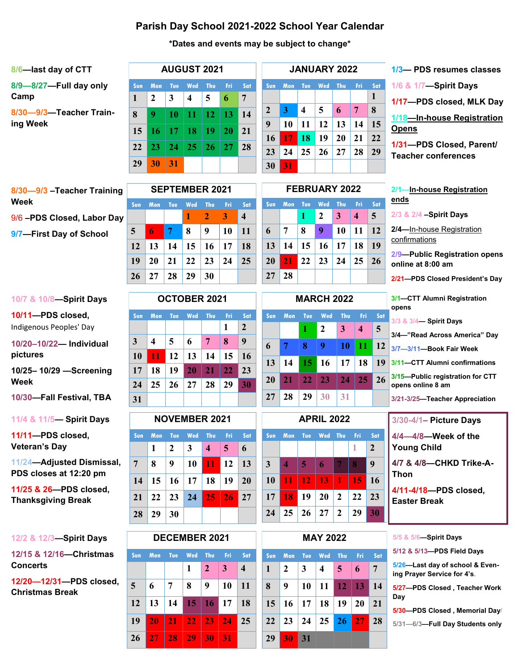## **Parish Day School 2021-2022 School Year Calendar**

### **\*Dates and events may be subject to change\***

| 8/6-last day of CTT                 | <b>AUGUST 2021</b> |                            |           |                                |           |           | <b>JANUARY 2022</b> |                       |          |                        |         |         |                  |
|-------------------------------------|--------------------|----------------------------|-----------|--------------------------------|-----------|-----------|---------------------|-----------------------|----------|------------------------|---------|---------|------------------|
| 8/9-8/27-Full day only<br>Camp      | Sun                | <b>Mon</b><br>$\mathbf{2}$ | Tue:<br>3 | Wed<br>$\overline{\mathbf{4}}$ | Thu.<br>5 | -Fri<br>6 | Sat<br>7            | Sun                   | Mon      | Tue                    | Wed     | Thu     |                  |
| 8/30-9/3-Teacher Train-<br>ing Week | 8                  | 9                          | 10        | 11                             | 12.       | 13        | 14                  | $\overline{2}$<br>9   | 3<br>10  | $\boldsymbol{4}$<br>11 | 5<br>12 | 6<br>13 | 7<br>$\mathbf 1$ |
|                                     | 15                 | 16                         | 17        | 18                             | 19        | <b>20</b> | 21                  | <b>16</b>             | 17       | 18                     | 19      | 20      | $\overline{2}$   |
|                                     | 22<br>29           | 23<br>30                   | 24<br>31  | <b>25</b>                      | <b>26</b> | 27        | 28                  | 23<br>30 <sup>°</sup> | 24<br>31 | 25                     | 26      | 27      | $\overline{2}$   |
|                                     |                    |                            |           |                                |           |           |                     |                       |          |                        |         |         |                  |

| <b>JANUARY 2022</b> |      |     |     |     |     | 1/3-PDS resumes classes |                                                        |
|---------------------|------|-----|-----|-----|-----|-------------------------|--------------------------------------------------------|
| Sun                 | Mon. | Tue | Wed | Thu | Fri | Sat                     | 1/6 & 1/7-Spirit Days                                  |
|                     |      |     |     |     |     | 1                       | 1/17-PDS closed, MLK Day                               |
| $\overline{2}$      | 3    | 4   | 5   | 6   | 7   | 8                       |                                                        |
| Q                   | 10   | 11  | 12  | 13  | 14  | 15                      | 1/18-In-house Registration<br><b>Opens</b>             |
| 16                  | 17   | 18  | 19  | 20  | 21  | 22                      |                                                        |
| 23                  | 24   | 25  | 26  |     | 28  | 29                      | 1/31-PDS Closed, Parent/<br><b>Teacher conferences</b> |

**8/30—9/3 –Teacher Training Week** 9/6 **–PDS Closed, Labor Day 9/7—First Day of School**

| <b>SEPTEMBER 2021</b> |                                 |       |                                      |                  |    |                         |  |  |  |  |
|-----------------------|---------------------------------|-------|--------------------------------------|------------------|----|-------------------------|--|--|--|--|
| <b>Sun</b>            | Mon Tue Wed Thu<br>- Fri<br>Sat |       |                                      |                  |    |                         |  |  |  |  |
|                       |                                 |       | <b>A</b>                             | $\mathbf{Z}$     | 3  | $\overline{\mathbf{4}}$ |  |  |  |  |
| 5                     | $\bullet$                       | $7 -$ | 8                                    | $\boldsymbol{9}$ | 10 | <b>11</b>               |  |  |  |  |
| 12                    |                                 |       | $13 \mid 14 \mid 15 \mid 16$         |                  | 17 | <b>18</b>               |  |  |  |  |
| 19                    |                                 |       | $20 \mid 21 \mid 22 \mid 23 \mid 24$ |                  |    | 25                      |  |  |  |  |
| 26                    |                                 | 27 28 | 29                                   | 30               |    |                         |  |  |  |  |

| <b>FEBRUARY 2022</b> |    |              |                             |                 |                         |     |  |  |  |  |
|----------------------|----|--------------|-----------------------------|-----------------|-------------------------|-----|--|--|--|--|
| <b>Sun</b>           |    |              | Mon Tue Wed Thu             |                 | - Fri                   | Sat |  |  |  |  |
|                      |    | $\mathbf{1}$ | $\cdot$ 2                   | $\vert 3 \vert$ | $\overline{\mathbf{4}}$ | 5   |  |  |  |  |
| 6                    | 7  | 8            | 9 <sup>°</sup>              | 10              | -11                     | 12  |  |  |  |  |
|                      |    |              | 13   14   15   16   17   18 |                 |                         | 19  |  |  |  |  |
| 20                   |    |              | $21 \t22 \t23 \t24 \t25$    |                 |                         | 26  |  |  |  |  |
| 27                   | 28 |              |                             |                 |                         |     |  |  |  |  |

**Sun Mon Tue Wed Thu Fri Sat**

**MARCH 2022**

**6 7 8 9 10 11 12**

**13 14 15 16 17 18 19**

**20 21 22 23 24 25 26**

**27 28 29 30 31**

**1 2 3 4 5**

| Opens                    |
|--------------------------|
| 1/31-PDS Closed, Parent/ |
| Teacher conferences      |
|                          |

**2/1—In-house Registration** 

**ends**

| 2/3 & 2/4 -Spirit Days                                |
|-------------------------------------------------------|
| 2/4-In-house Registration<br>confirmations            |
| 2/9-Public Registration opens<br>online at 8:00 am    |
| 2/21-PDS Closed President's Day                       |
| 3/1-CTT Alumni Registration<br>opens                  |
| 3/3 & 3/4-Spirit Days                                 |
| 3/4-"Read Across America" Day                         |
| 3/7-3/11-Book Fair Week                               |
| 3/11-CTT Alumni confirmations                         |
| 3/15-Public registration for CTT<br>opens online 8 am |
| 3/21-3/25-Teacher Appreciation                        |
| 3/30-4/1- Picture Days                                |
| $4/4 - 4/8$ -Week of the<br><b>Young Child</b>        |
| 4/7 & 4/8-CHKD Trike-A-<br>Thon                       |
| 4/11-4/18-PDS closed,                                 |

#### **10/7 & 10/8—Spirit Days**

**10/11—PDS closed,**  Indigenous Peoples' Day

**10/20–10/22— Individual pictures**

**10/25– 10/29 —Screening Week**

**10/30—Fall Festival, TBA**

**11/4 & 11/5— Spirit Days**

**11/11—PDS closed, Veteran's Day**

**11/24—Adjusted Dismissal, PDS closes at 12:20 pm**

**11/25 & 26—PDS closed, Thanksgiving Break**

|  | 12/2 & 12/3-Spirit Days |  |
|--|-------------------------|--|
|--|-------------------------|--|

**12/15 & 12/16—Christmas Concerts**

**12/20—12/31—PDS closed, Christmas Break**

| <b>OCTOBER 2021</b> |     |     |           |     |     |                |  |  |  |
|---------------------|-----|-----|-----------|-----|-----|----------------|--|--|--|
| Sun                 | Mon | Tue | Wed       | Thu | Fri | Sat            |  |  |  |
|                     |     |     |           |     | 1   | $\overline{2}$ |  |  |  |
| 3                   | 4   | 5   | 6         | 7   | 8   | 9              |  |  |  |
| 10                  | 11  | 12  | 13        | 14  | 15  | 16             |  |  |  |
| 17                  | 18  | 19  | <b>20</b> | 21  | 22  | 23             |  |  |  |
| 24                  | 25  | 26  | 27        | 28  | 29  | 30             |  |  |  |
| 31                  |     |     |           |     |     |                |  |  |  |

| <b>NOVEMBER 2021</b> |                      |                |                 |                         |                   |            |  |  |  |
|----------------------|----------------------|----------------|-----------------|-------------------------|-------------------|------------|--|--|--|
| Sun                  |                      |                | Mon Tue Wed Thu |                         | - Fri             | Sat        |  |  |  |
|                      | 1                    | $\overline{2}$ | 3 <sup>1</sup>  | $\overline{\mathbf{4}}$ | $\clubsuit$       | 6          |  |  |  |
| 7                    | 8                    | 9              | 10              | 11                      | $\vert$ 12        | 13         |  |  |  |
| 14                   | $\vert 15 \vert$     |                | $16$   17       | 18                      | 19                | 20         |  |  |  |
|                      | $21 \mid 22 \mid 23$ |                | 24              |                         | $25 \mid 26 \mid$ | $\vert$ 27 |  |  |  |
| 28                   | -29                  | 30             |                 |                         |                   |            |  |  |  |

| <b>DECEMBER 2021</b> |            |            |                 |                 |      |                  |  |  |  |  |
|----------------------|------------|------------|-----------------|-----------------|------|------------------|--|--|--|--|
| Sun                  | <b>Mon</b> | <b>Tue</b> | Wed             | Thu             | -Fri | Sat              |  |  |  |  |
|                      |            |            | 1               | $\overline{2}$  | 3    | $\boldsymbol{4}$ |  |  |  |  |
| 5                    | 6          | 7          | 8               | 9               | 10   | 11               |  |  |  |  |
| 12                   | 13         | 14         | 15 <sup>1</sup> | 16 <sup>1</sup> | 17   | <b>18</b>        |  |  |  |  |
| 19                   | 20         | 21         | $22 -$          | -23             | 24   | 25               |  |  |  |  |
| 26                   | 27         | 28         | 29              | 30              | 31   |                  |  |  |  |  |

| <b>APRIL 2022</b> |            |                 |           |                  |     |                  |  |  |  |  |
|-------------------|------------|-----------------|-----------|------------------|-----|------------------|--|--|--|--|
| Sun-              | <b>Mon</b> | <b>Tue</b>      | Wed       | Thu              | Fri | Sat              |  |  |  |  |
|                   |            |                 |           |                  | 1   | $\boldsymbol{2}$ |  |  |  |  |
| 3                 | 4          | 5               | 6         | 7                | 8   | 9                |  |  |  |  |
| 10                | 11         | 12 <sub>1</sub> | <b>13</b> | 1                | 15  | 16               |  |  |  |  |
| 17                | 18         | 19              | 20        | $\boldsymbol{2}$ | 22  | 23               |  |  |  |  |
| 24                | 25         | 26              | 27        | $\mathbf{2}$     | 29  | 30               |  |  |  |  |
|                   |            |                 |           |                  |     |                  |  |  |  |  |

|              | Sun Mon Tue Wed Thu Fri Sat |             |                  |            |                 |                |
|--------------|-----------------------------|-------------|------------------|------------|-----------------|----------------|
| $\mathbf{1}$ | $\parallel$ 2               | $3^{\circ}$ | $\overline{4}$   | $\sqrt{5}$ | $\vert 6 \vert$ | $\overline{7}$ |
| $8 \mid 9$   |                             |             | $10$ 11 12 13 14 |            |                 |                |
|              | 15 16 17 18 19 20 21        |             |                  |            |                 |                |
|              | 22 23 24 25 26 27 28        |             |                  |            |                 |                |
|              | 29 30 31                    |             |                  |            |                 |                |

**5/5 & 5/6—Spirit Days**

**Easter Break**

**5/12 & 5/13—PDS Field Days**

**5/26—Last day of school & Evening Prayer Service for 4's**.

**5/27—PDS Closed , Teacher Work Day**

**5/30—PDS Closed , Memorial Day/**

**5/31—6/3—Full Day Students only**